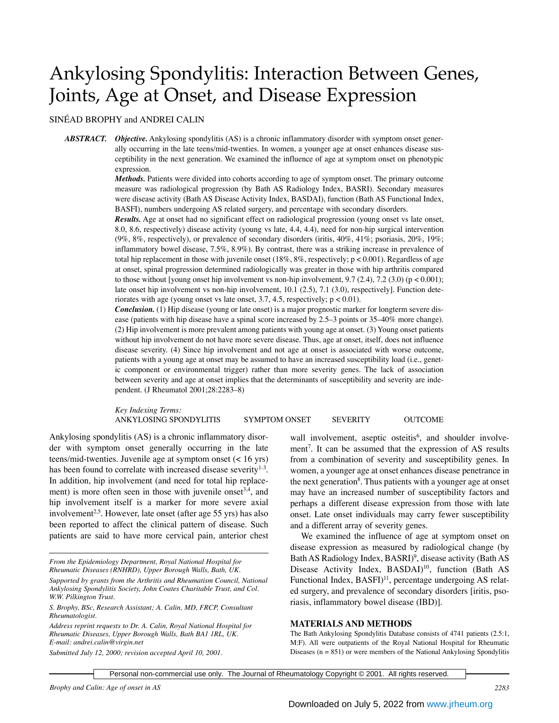# Ankylosing Spondylitis: Interaction Between Genes, Joints, Age at Onset, and Disease Expression

## SINÉAD BROPHY and ANDREI CALIN

*ABSTRACT. Objective.* Ankylosing spondylitis (AS) is a chronic inflammatory disorder with symptom onset generally occurring in the late teens/mid-twenties. In women, a younger age at onset enhances disease susceptibility in the next generation. We examined the influence of age at symptom onset on phenotypic expression.

> *Methods.* Patients were divided into cohorts according to age of symptom onset. The primary outcome measure was radiological progression (by Bath AS Radiology Index, BASRI). Secondary measures were disease activity (Bath AS Disease Activity Index, BASDAI), function (Bath AS Functional Index, BASFI), numbers undergoing AS related surgery, and percentage with secondary disorders.

> *Results.* Age at onset had no significant effect on radiological progression (young onset vs late onset, 8.0, 8.6, respectively) disease activity (young vs late, 4.4, 4.4), need for non-hip surgical intervention (9%, 8%, respectively), or prevalence of secondary disorders (iritis, 40%, 41%; psoriasis, 20%, 19%; inflammatory bowel disease, 7.5%, 8.9%). By contrast, there was a striking increase in prevalence of total hip replacement in those with juvenile onset  $(18\%, 8\%,$  respectively;  $p < 0.001$ ). Regardless of age at onset, spinal progression determined radiologically was greater in those with hip arthritis compared to those without [young onset hip involvement vs non-hip involvement, 9.7 (2.4), 7.2 (3.0) ( $p < 0.001$ ); late onset hip involvement vs non-hip involvement, 10.1 (2.5), 7.1 (3.0), respectively]. Function deteriorates with age (young onset vs late onset, 3.7, 4.5, respectively; p < 0.01).

> *Conclusion.* (1) Hip disease (young or late onset) is a major prognostic marker for longterm severe disease (patients with hip disease have a spinal score increased by 2.5–3 points or 35–40% more change). (2) Hip involvement is more prevalent among patients with young age at onset. (3) Young onset patients without hip involvement do not have more severe disease. Thus, age at onset, itself, does not influence disease severity. (4) Since hip involvement and not age at onset is associated with worse outcome, patients with a young age at onset may be assumed to have an increased susceptibility load (i.e., genetic component or environmental trigger) rather than more severity genes. The lack of association between severity and age at onset implies that the determinants of susceptibility and severity are independent. (J Rheumatol 2001;28:2283–8)

> *Key Indexing Terms:* ANKYLOSING SPONDYLITIS SYMPTOM ONSET SEVERITY OUTCOME

Ankylosing spondylitis (AS) is a chronic inflammatory disorder with symptom onset generally occurring in the late teens/mid-twenties. Juvenile age at symptom onset (< 16 yrs) has been found to correlate with increased disease severity $1-3$ . In addition, hip involvement (and need for total hip replacement) is more often seen in those with juvenile onset<sup>3,4</sup>, and hip involvement itself is a marker for more severe axial involvement<sup>2,5</sup>. However, late onset (after age 55 yrs) has also been reported to affect the clinical pattern of disease. Such patients are said to have more cervical pain, anterior chest

*Address reprint requests to Dr. A. Calin, Royal National Hospital for Rheumatic Diseases, Upper Borough Walls, Bath BA1 1RL, UK. E-mail: andrei.calin@virgin.net*

wall involvement, aseptic osteitis<sup>6</sup>, and shoulder involvement<sup>7</sup>. It can be assumed that the expression of AS results from a combination of severity and susceptibility genes. In women, a younger age at onset enhances disease penetrance in the next generation<sup>8</sup>. Thus patients with a younger age at onset may have an increased number of susceptibility factors and perhaps a different disease expression from those with late onset. Late onset individuals may carry fewer susceptibility and a different array of severity genes.

We examined the influence of age at symptom onset on disease expression as measured by radiological change (by Bath AS Radiology Index, BASRI)<sup>9</sup>, disease activity (Bath AS Disease Activity Index, BASDAI)<sup>10</sup>, function (Bath AS Functional Index, BASFI)<sup>11</sup>, percentage undergoing AS related surgery, and prevalence of secondary disorders [iritis, psoriasis, inflammatory bowel disease (IBD)].

#### **MATERIALS AND METHODS**

The Bath Ankylosing Spondylitis Database consists of 4741 patients (2.5:1, M:F). All were outpatients of the Royal National Hospital for Rheumatic Diseases  $(n = 851)$  or were members of the National Ankylosing Spondylitis

Personal non-commercial use only. The Journal of Rheumatology Copyright © 2001. All rights reserved.

*From the Epidemiology Department, Royal National Hospital for Rheumatic Diseases (RNHRD), Upper Borough Walls, Bath, UK.*

*Supported by grants from the Arthritis and Rheumatism Council, National Ankylosing Spondylitis Society, John Coates Charitable Trust, and Col. W.W. Pilkington Trust.*

*S. Brophy, BSc, Research Assistant; A. Calin, MD, FRCP, Consultant Rheumatologist.*

*Submitted July 12, 2000; revision accepted April 10, 2001.*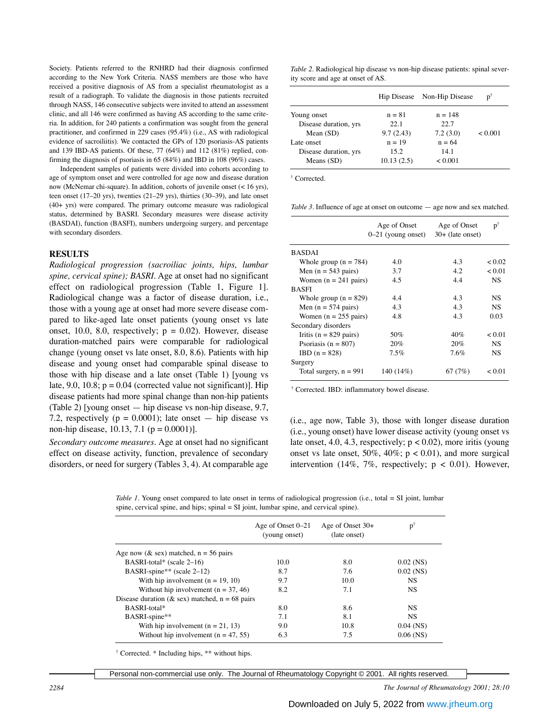Society. Patients referred to the RNHRD had their diagnosis confirmed according to the New York Criteria. NASS members are those who have received a positive diagnosis of AS from a specialist rheumatologist as a result of a radiograph. To validate the diagnosis in those patients recruited through NASS, 146 consecutive subjects were invited to attend an assessment clinic, and all 146 were confirmed as having AS according to the same criteria. In addition, for 240 patients a confirmation was sought from the general practitioner, and confirmed in 229 cases (95.4%) (i.e., AS with radiological evidence of sacroiliitis). We contacted the GPs of 120 psoriasis-AS patients and 139 IBD-AS patients. Of these, 77 (64%) and 112 (81%) replied, confirming the diagnosis of psoriasis in 65 (84%) and IBD in 108 (96%) cases.

Independent samples of patients were divided into cohorts according to age of symptom onset and were controlled for age now and disease duration now (McNemar chi-square). In addition, cohorts of juvenile onset (< 16 yrs), teen onset (17–20 yrs), twenties (21–29 yrs), thirties (30–39), and late onset (40+ yrs) were compared. The primary outcome measure was radiological status, determined by BASRI. Secondary measures were disease activity (BASDAI), function (BASFI), numbers undergoing surgery, and percentage with secondary disorders.

### **RESULTS**

*Radiological progression (sacroiliac joints, hips, lumbar spine, cervical spine); BASRI.* Age at onset had no significant effect on radiological progression (Table 1, Figure 1]. Radiological change was a factor of disease duration, i.e., those with a young age at onset had more severe disease compared to like-aged late onset patients (young onset vs late onset, 10.0, 8.0, respectively;  $p = 0.02$ ). However, disease duration-matched pairs were comparable for radiological change (young onset vs late onset, 8.0, 8.6). Patients with hip disease and young onset had comparable spinal disease to those with hip disease and a late onset (Table 1) [young vs late, 9.0, 10.8;  $p = 0.04$  (corrected value not significant)]. Hip disease patients had more spinal change than non-hip patients (Table 2) [young onset — hip disease vs non-hip disease, 9.7, 7.2, respectively ( $p = 0.0001$ ); late onset — hip disease vs non-hip disease, 10.13, 7.1 ( $p = 0.0001$ ).

*Secondary outcome measures.* Age at onset had no significant effect on disease activity, function, prevalence of secondary disorders, or need for surgery (Tables 3, 4). At comparable age

*Table 2.* Radiological hip disease vs non-hip disease patients: spinal severity score and age at onset of AS.

| Hip Disease |           | $\mathbf{p}^{\dagger}$ |
|-------------|-----------|------------------------|
| $n = 81$    | $n = 148$ |                        |
| 22.1        | 22.7      |                        |
| 9.7(2.43)   | 7.2(3.0)  | < 0.001                |
| $n = 19$    | $n = 64$  |                        |
| 15.2        | 14.1      |                        |
| 10.13(2.5)  | < 0.001   |                        |
|             |           | Non-Hip Disease        |

† Corrected.

*Table 3.* Influence of age at onset on outcome — age now and sex matched.

|                                 | Age of Onset<br>$0-21$ (young onset) | Age of Onset<br>$30+$ (late onset) | $p^{\dagger}$ |
|---------------------------------|--------------------------------------|------------------------------------|---------------|
| <b>BASDAI</b>                   |                                      |                                    |               |
| Whole group $(n = 784)$         | 4.0                                  | 4.3                                | ${}_{0.02}$   |
| Men $(n = 543 \text{ pairs})$   | 3.7                                  | 4.2                                | < 0.01        |
| Women $(n = 241$ pairs)         | 4.5                                  | 4.4                                | <b>NS</b>     |
| <b>BASFI</b>                    |                                      |                                    |               |
| Whole group $(n = 829)$         | 4.4                                  | 4.3                                | NS.           |
| Men $(n = 574 \text{ pairs})$   | 4.3                                  | 4.3                                | NS.           |
| Women $(n = 255 \text{ pairs})$ | 4.8                                  | 4.3                                | 0.03          |
| Secondary disorders             |                                      |                                    |               |
| Iritis ( $n = 829$ pairs)       | 50%                                  | 40%                                | < 0.01        |
| Psoriasis ( $n = 807$ )         | 20%                                  | 20%                                | NS.           |
| $IBD (n = 828)$                 | 7.5%                                 | 7.6%                               | NS.           |
| Surgery                         |                                      |                                    |               |
| Total surgery, $n = 991$        | 140 (14%)                            | 67 $(7%)$                          | ${}_{0.01}$   |

† Corrected. IBD: inflammatory bowel disease.

(i.e., age now, Table 3), those with longer disease duration (i.e., young onset) have lower disease activity (young onset vs late onset, 4.0, 4.3, respectively;  $p < 0.02$ ), more iritis (young onset vs late onset,  $50\%$ ,  $40\%$ ;  $p < 0.01$ ), and more surgical intervention (14%, 7%, respectively;  $p < 0.01$ ). However,

*Table 1.* Young onset compared to late onset in terms of radiological progression (i.e., total = SI joint, lumbar spine, cervical spine, and hips; spinal = SI joint, lumbar spine, and cervical spine).

|                                                  | Age of Onset 0–21<br>(young onset) | Age of Onset $30+$<br>(late onset) | $p^{\dagger}$ |
|--------------------------------------------------|------------------------------------|------------------------------------|---------------|
| Age now ( $\&$ sex) matched, $n = 56$ pairs      |                                    |                                    |               |
| BASRI-total* (scale $2-16$ )                     | 10.0                               | 8.0                                | $0.02$ (NS)   |
| BASRI-spine** (scale 2-12)                       | 8.7                                | 7.6                                | $0.02$ (NS)   |
| With hip involvement $(n = 19, 10)$              | 9.7                                | 10.0                               | <b>NS</b>     |
| Without hip involvement $(n = 37, 46)$           | 8.2                                | 7.1                                | <b>NS</b>     |
| Disease duration (& sex) matched, $n = 68$ pairs |                                    |                                    |               |
| BASRI-total*                                     | 8.0                                | 8.6                                | <b>NS</b>     |
| BASRI-spine**                                    | 7.1                                | 8.1                                | NS            |
| With hip involvement $(n = 21, 13)$              | 9.0                                | 10.8                               | $0.04$ (NS)   |
| Without hip involvement $(n = 47, 55)$           | 6.3                                | 7.5                                | $0.06$ (NS)   |

† Corrected. \* Including hips, \*\* without hips.

Personal non-commercial use only. The Journal of Rheumatology Copyright © 2001. All rights reserved.

*2284 The Journal of Rheumatology 2001; 28:10*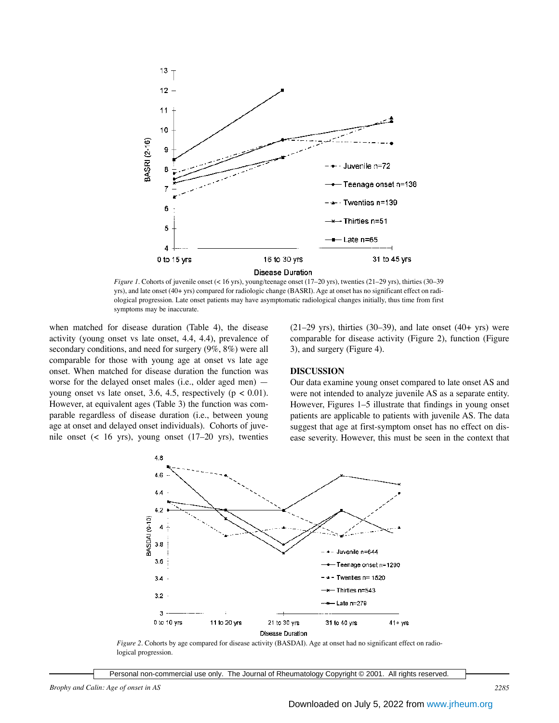

*Figure 1.* Cohorts of juvenile onset (< 16 yrs), young/teenage onset (17–20 yrs), twenties (21–29 yrs), thirties (30–39 yrs), and late onset (40+ yrs) compared for radiologic change (BASRI). Age at onset has no significant effect on radiological progression. Late onset patients may have asymptomatic radiological changes initially, thus time from first symptoms may be inaccurate.

when matched for disease duration (Table 4), the disease activity (young onset vs late onset, 4.4, 4.4), prevalence of secondary conditions, and need for surgery (9%, 8%) were all comparable for those with young age at onset vs late age onset. When matched for disease duration the function was worse for the delayed onset males (i.e., older aged men) young onset vs late onset, 3.6, 4.5, respectively ( $p < 0.01$ ). However, at equivalent ages (Table 3) the function was comparable regardless of disease duration (i.e., between young age at onset and delayed onset individuals). Cohorts of juvenile onset (< 16 yrs), young onset (17–20 yrs), twenties

 $(21-29 \text{ yrs})$ , thirties  $(30-39)$ , and late onset  $(40+\text{ yrs})$  were comparable for disease activity (Figure 2), function (Figure 3), and surgery (Figure 4).

## **DISCUSSION**

Our data examine young onset compared to late onset AS and were not intended to analyze juvenile AS as a separate entity. However, Figures 1–5 illustrate that findings in young onset patients are applicable to patients with juvenile AS. The data suggest that age at first-symptom onset has no effect on disease severity. However, this must be seen in the context that



*Figure 2.* Cohorts by age compared for disease activity (BASDAI). Age at onset had no significant effect on radiological progression.

Personal non-commercial use only. The Journal of Rheumatology Copyright © 2001. All rights reserved.

*Brophy and Calin: Age of onset in AS 2285*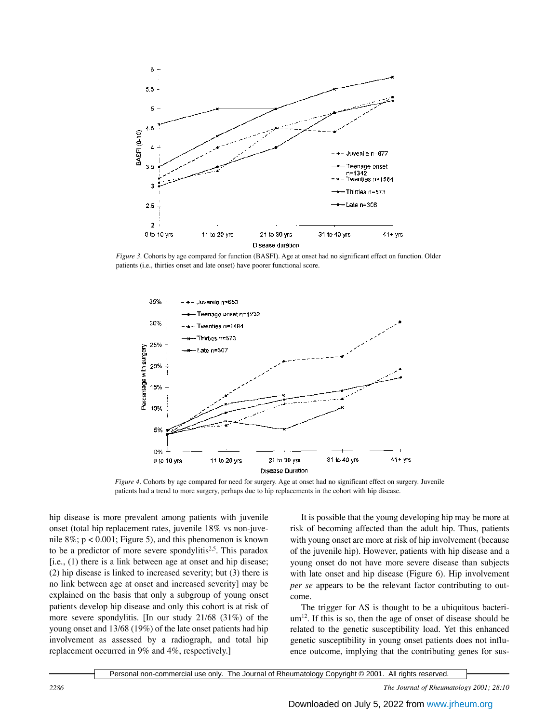

*Figure 3.* Cohorts by age compared for function (BASFI). Age at onset had no significant effect on function. Older patients (i.e., thirties onset and late onset) have poorer functional score.



*Figure 4.* Cohorts by age compared for need for surgery. Age at onset had no significant effect on surgery. Juvenile patients had a trend to more surgery, perhaps due to hip replacements in the cohort with hip disease.

hip disease is more prevalent among patients with juvenile onset (total hip replacement rates, juvenile 18% vs non-juvenile  $8\%$ ; p < 0.001; Figure 5), and this phenomenon is known to be a predictor of more severe spondylitis<sup>2,5</sup>. This paradox [i.e., (1) there is a link between age at onset and hip disease; (2) hip disease is linked to increased severity; but (3) there is no link between age at onset and increased severity] may be explained on the basis that only a subgroup of young onset patients develop hip disease and only this cohort is at risk of more severe spondylitis. [In our study 21/68 (31%) of the young onset and 13/68 (19%) of the late onset patients had hip involvement as assessed by a radiograph, and total hip replacement occurred in 9% and 4%, respectively.]

It is possible that the young developing hip may be more at risk of becoming affected than the adult hip. Thus, patients with young onset are more at risk of hip involvement (because of the juvenile hip). However, patients with hip disease and a young onset do not have more severe disease than subjects with late onset and hip disease (Figure 6). Hip involvement *per se* appears to be the relevant factor contributing to outcome.

The trigger for AS is thought to be a ubiquitous bacteri $um<sup>12</sup>$ . If this is so, then the age of onset of disease should be related to the genetic susceptibility load. Yet this enhanced genetic susceptibility in young onset patients does not influence outcome, implying that the contributing genes for sus-

Personal non-commercial use only. The Journal of Rheumatology Copyright © 2001. All rights reserved.

*2286 The Journal of Rheumatology 2001; 28:10*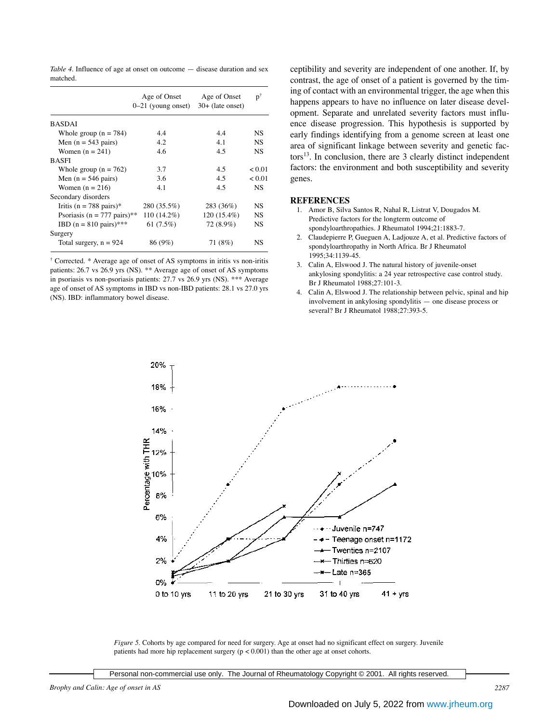*Table 4.* Influence of age at onset on outcome — disease duration and sex matched.

|                                          | Age of Onset<br>$0-21$ (young onset) | Age of Onset<br>$30+$ (late onset) | $\mathbf{p}^{\dagger}$ |
|------------------------------------------|--------------------------------------|------------------------------------|------------------------|
| <b>BASDAI</b>                            |                                      |                                    |                        |
| Whole group $(n = 784)$                  | 4.4                                  | 4.4                                | NS                     |
| Men $(n = 543 \text{ pairs})$            | 4.2                                  | 4.1                                | <b>NS</b>              |
| Women $(n = 241)$                        | 4.6                                  | 4.5                                | <b>NS</b>              |
| <b>BASFI</b>                             |                                      |                                    |                        |
| Whole group $(n = 762)$                  | 3.7                                  | 4.5                                | < 0.01                 |
| Men $(n = 546 \text{ pairs})$            | 3.6                                  | 4.5                                | < 0.01                 |
| Women $(n = 216)$                        | 4.1                                  | 4.5                                | NS.                    |
| Secondary disorders                      |                                      |                                    |                        |
| Iritis (n = 788 pairs)*                  | 280 (35.5%)                          | 283 (36%)                          | <b>NS</b>              |
| Psoriasis ( $n = 777$ pairs)**           | 110 (14.2%)                          | 120 (15.4%)                        | <b>NS</b>              |
| <b>IBD</b> $(n = 810 \text{ pairs})$ *** | 61 $(7.5\%)$                         | 72 (8.9%)                          | <b>NS</b>              |
| Surgery                                  |                                      |                                    |                        |
| Total surgery, $n = 924$                 | 86 (9%)                              | 71 (8%)                            | NS                     |

† Corrected. \* Average age of onset of AS symptoms in iritis vs non-iritis patients: 26.7 vs 26.9 yrs (NS). \*\* Average age of onset of AS symptoms in psoriasis vs non-psoriasis patients: 27.7 vs 26.9 yrs (NS). \*\*\* Average age of onset of AS symptoms in IBD vs non-IBD patients: 28.1 vs 27.0 yrs (NS). IBD: inflammatory bowel disease.

ceptibility and severity are independent of one another. If, by contrast, the age of onset of a patient is governed by the timing of contact with an environmental trigger, the age when this happens appears to have no influence on later disease development. Separate and unrelated severity factors must influence disease progression. This hypothesis is supported by early findings identifying from a genome screen at least one area of significant linkage between severity and genetic fac- $\text{tors}^{13}$ . In conclusion, there are 3 clearly distinct independent factors: the environment and both susceptibility and severity genes.

### **REFERENCES**

- 1. Amor B, Silva Santos R, Nahal R, Listrat V, Dougados M. Predictive factors for the longterm outcome of spondyloarthropathies. J Rheumatol 1994;21:1883-7.
- 2. Claudepierre P, Gueguen A, Ladjouze A, et al. Predictive factors of spondyloarthropathy in North Africa. Br J Rheumatol 1995;34:1139-45.
- 3. Calin A, Elswood J. The natural history of juvenile-onset ankylosing spondylitis: a 24 year retrospective case control study. Br J Rheumatol 1988;27:101-3.
- 4. Calin A, Elswood J. The relationship between pelvic, spinal and hip involvement in ankylosing spondylitis — one disease process or several? Br J Rheumatol 1988;27:393-5.



*Figure 5.* Cohorts by age compared for need for surgery. Age at onset had no significant effect on surgery. Juvenile patients had more hip replacement surgery (p < 0.001) than the other age at onset cohorts.

*Brophy and Calin: Age of onset in AS 2287*